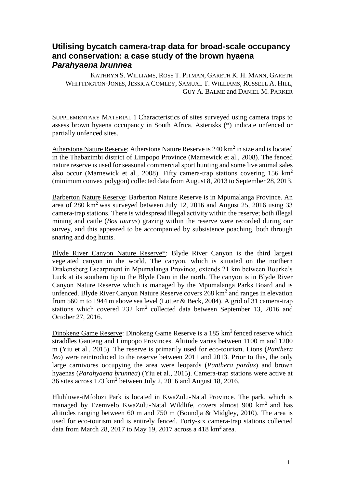## **Utilising bycatch camera-trap data for broad-scale occupancy and conservation: a case study of the brown hyaena**  *Parahyaena brunnea*

KATHRYN S. WILLIAMS, ROSS T. PITMAN, GARETH K. H. MANN, GARETH WHITTINGTON-JONES, JESSICA COMLEY, SAMUAL T. WILLIAMS, RUSSELL A. HILL, GUY A. BALME and DANIEL M. PARKER

SUPPLEMENTARY MATERIAL 1 Characteristics of sites surveyed using camera traps to assess brown hyaena occupancy in South Africa. Asterisks (\*) indicate unfenced or partially unfenced sites.

Atherstone Nature Reserve: Atherstone Nature Reserve is 240 km<sup>2</sup> in size and is located in the Thabazimbi district of Limpopo Province (Marnewick et al., 2008). The fenced nature reserve is used for seasonal commercial sport hunting and some live animal sales also occur (Marnewick et al., 2008). Fifty camera-trap stations covering  $156 \text{ km}^2$ (minimum convex polygon) collected data from August 8, 2013 to September 28, 2013.

Barberton Nature Reserve: Barberton Nature Reserve is in Mpumalanga Province. An area of  $280 \text{ km}^2$  was surveyed between July 12,  $2016$  and August 25,  $2016$  using 33 camera-trap stations. There is widespread illegal activity within the reserve; both illegal mining and cattle (*Bos taurus*) grazing within the reserve were recorded during our survey, and this appeared to be accompanied by subsistence poaching, both through snaring and dog hunts.

Blyde River Canyon Nature Reserve\*: Blyde River Canyon is the third largest vegetated canyon in the world. The canyon, which is situated on the northern Drakensberg Escarpment in Mpumalanga Province, extends 21 km between Bourke's Luck at its southern tip to the Blyde Dam in the north. The canyon is in Blyde River Canyon Nature Reserve which is managed by the Mpumalanga Parks Board and is unfenced. Blyde River Canyon Nature Reserve covers 268 km<sup>2</sup> and ranges in elevation from 560 m to 1944 m above sea level (Lötter & Beck, 2004). A grid of 31 camera-trap stations which covered  $232 \text{ km}^2$  collected data between September 13, 2016 and October 27, 2016.

Dinokeng Game Reserve: Dinokeng Game Reserve is a 185 km<sup>2</sup> fenced reserve which straddles Gauteng and Limpopo Provinces. Altitude varies between 1100 m and 1200 m (Yiu et al., 2015). The reserve is primarily used for eco-tourism. Lions (*Panthera leo*) were reintroduced to the reserve between 2011 and 2013. Prior to this, the only large carnivores occupying the area were leopards (*Panthera pardus*) and brown hyaenas (*Parahyaena brunnea*) (Yiu et al., 2015). Camera-trap stations were active at 36 sites across 173 km<sup>2</sup> between July 2, 2016 and August 18, 2016.

Hluhluwe-iMfolozi Park is located in KwaZulu-Natal Province. The park, which is managed by Ezemvelo KwaZulu-Natal Wildlife, covers almost 900 km<sup>2</sup> and has altitudes ranging between 60 m and 750 m (Boundja & Midgley, 2010). The area is used for eco-tourism and is entirely fenced. Forty-six camera-trap stations collected data from March 28, 2017 to May 19, 2017 across a 418  $\text{km}^2$  area.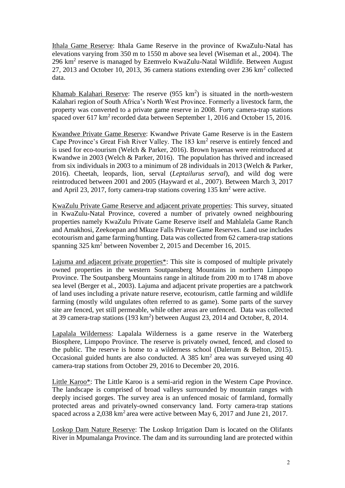Ithala Game Reserve: Ithala Game Reserve in the province of KwaZulu-Natal has elevations varying from 350 m to 1550 m above sea level (Wiseman et al., 2004). The 296  $km^2$  reserve is managed by Ezemvelo KwaZulu-Natal Wildlife. Between August 27, 2013 and October 10, 2013, 36 camera stations extending over 236 km<sup>2</sup> collected data.

Khamab Kalahari Reserve: The reserve  $(955 \text{ km}^2)$  is situated in the north-western Kalahari region of South Africa's North West Province. Formerly a livestock farm, the property was converted to a private game reserve in 2008. Forty camera-trap stations spaced over  $617 \text{ km}^2$  recorded data between September 1, 2016 and October 15, 2016.

Kwandwe Private Game Reserve: Kwandwe Private Game Reserve is in the Eastern Cape Province's Great Fish River Valley. The 183 km<sup>2</sup> reserve is entirely fenced and is used for eco-tourism (Welch & Parker, 2016). Brown hyaenas were reintroduced at Kwandwe in 2003 (Welch & Parker, 2016). The population has thrived and increased from six individuals in 2003 to a minimum of 28 individuals in 2013 (Welch & Parker, 2016). Cheetah, leopards, lion, serval (*Leptailurus serval*), and wild dog were reintroduced between 2001 and 2005 (Hayward et al., 2007). Between March 3, 2017 and April 23, 2017, forty camera-trap stations covering 135 km<sup>2</sup> were active.

KwaZulu Private Game Reserve and adjacent private properties: This survey, situated in KwaZulu-Natal Province, covered a number of privately owned neighbouring properties namely KwaZulu Private Game Reserve itself and Mahlalela Game Ranch and Amakhosi, Zeekoepan and Mkuze Falls Private Game Reserves. Land use includes ecotourism and game farming/hunting. Data was collected from 62 camera-trap stations spanning 325 km<sup>2</sup> between November 2, 2015 and December 16, 2015.

Lajuma and adjacent private properties\*: This site is composed of multiple privately owned properties in the western Soutpansberg Mountains in northern Limpopo Province. The Soutpansberg Mountains range in altitude from 200 m to 1748 m above sea level (Berger et al., 2003). Lajuma and adjacent private properties are a patchwork of land uses including a private nature reserve, ecotourism, cattle farming and wildlife farming (mostly wild ungulates often referred to as game). Some parts of the survey site are fenced, yet still permeable, while other areas are unfenced. Data was collected at 39 camera-trap stations  $(193 \text{ km}^2)$  between August 23, 2014 and October, 8, 2014.

Lapalala Wilderness: Lapalala Wilderness is a game reserve in the Waterberg Biosphere, Limpopo Province. The reserve is privately owned, fenced, and closed to the public. The reserve is home to a wilderness school (Dalerum & Belton, 2015). Occasional guided hunts are also conducted. A 385  $km<sup>2</sup>$  area was surveyed using 40 camera-trap stations from October 29, 2016 to December 20, 2016.

Little Karoo\*: The Little Karoo is a semi-arid region in the Western Cape Province. The landscape is comprised of broad valleys surrounded by mountain ranges with deeply incised gorges. The survey area is an unfenced mosaic of farmland, formally protected areas and privately-owned conservancy land. Forty camera-trap stations spaced across a  $2,038$  km<sup>2</sup> area were active between May 6, 2017 and June 21, 2017.

Loskop Dam Nature Reserve: The Loskop Irrigation Dam is located on the Olifants River in Mpumalanga Province. The dam and its surrounding land are protected within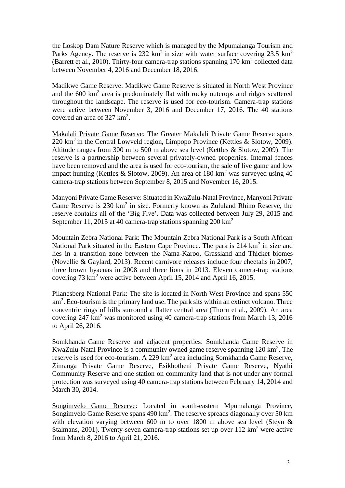the Loskop Dam Nature Reserve which is managed by the Mpumalanga Tourism and Parks Agency. The reserve is 232 km<sup>2</sup> in size with water surface covering 23.5 km<sup>2</sup> (Barrett et al., 2010). Thirty-four camera-trap stations spanning  $170 \text{ km}^2$  collected data between November 4, 2016 and December 18, 2016.

Madikwe Game Reserve: Madikwe Game Reserve is situated in North West Province and the 600 km<sup>2</sup> area is predominately flat with rocky outcrops and ridges scattered throughout the landscape. The reserve is used for eco-tourism. Camera-trap stations were active between November 3, 2016 and December 17, 2016. The 40 stations covered an area of  $327 \text{ km}^2$ .

Makalali Private Game Reserve: The Greater Makalali Private Game Reserve spans  $220 \text{ km}^2$  in the Central Lowveld region, Limpopo Province (Kettles & Slotow, 2009). Altitude ranges from 300 m to 500 m above sea level (Kettles & Slotow, 2009). The reserve is a partnership between several privately-owned properties. Internal fences have been removed and the area is used for eco-tourism, the sale of live game and low impact hunting (Kettles & Slotow, 2009). An area of 180 km<sup>2</sup> was surveyed using 40 camera-trap stations between September 8, 2015 and November 16, 2015.

Manyoni Private Game Reserve: Situated in KwaZulu-Natal Province, Manyoni Private Game Reserve is 230 km<sup>2</sup> in size. Formerly known as Zululand Rhino Reserve, the reserve contains all of the 'Big Five'. Data was collected between July 29, 2015 and September 11, 2015 at 40 camera-trap stations spanning  $200 \text{ km}^2$ 

Mountain Zebra National Park: The Mountain Zebra National Park is a South African National Park situated in the Eastern Cape Province. The park is 214 km<sup>2</sup> in size and lies in a transition zone between the Nama-Karoo, Grassland and Thicket biomes (Novellie & Gaylard, 2013). Recent carnivore releases include four cheetahs in 2007, three brown hyaenas in 2008 and three lions in 2013. Eleven camera-trap stations covering 73 km<sup>2</sup> were active between April 15, 2014 and April 16, 2015.

Pilanesberg National Park: The site is located in North West Province and spans 550 km<sup>2</sup>. Eco-tourism is the primary land use. The park sits within an extinct volcano. Three concentric rings of hills surround a flatter central area (Thorn et al., 2009). An area covering 247 km<sup>2</sup> was monitored using 40 camera-trap stations from March 13, 2016 to April 26, 2016.

Somkhanda Game Reserve and adjacent properties: Somkhanda Game Reserve in KwaZulu-Natal Province is a community owned game reserve spanning 120 km<sup>2</sup>. The reserve is used for eco-tourism. A 229  $km^2$  area including Somkhanda Game Reserve, Zimanga Private Game Reserve, Esikhotheni Private Game Reserve, Nyathi Community Reserve and one station on community land that is not under any formal protection was surveyed using 40 camera-trap stations between February 14, 2014 and March 30, 2014.

Songimvelo Game Reserve: Located in south-eastern Mpumalanga Province, Songimvelo Game Reserve spans  $490 \text{ km}^2$ . The reserve spreads diagonally over 50 km with elevation varying between 600 m to over 1800 m above sea level (Steyn & Stalmans, 2001). Twenty-seven camera-trap stations set up over  $112 \text{ km}^2$  were active from March 8, 2016 to April 21, 2016.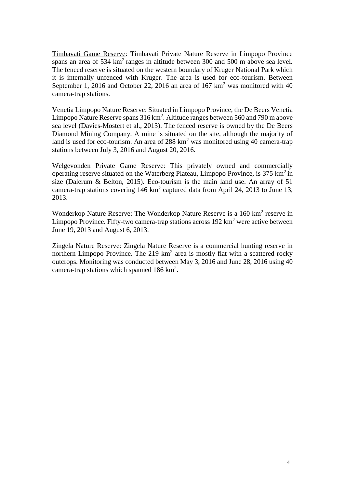Timbavati Game Reserve: Timbavati Private Nature Reserve in Limpopo Province spans an area of  $534 \text{ km}^2$  ranges in altitude between 300 and 500 m above sea level. The fenced reserve is situated on the western boundary of Kruger National Park which it is internally unfenced with Kruger. The area is used for eco-tourism. Between September 1, 2016 and October 22, 2016 an area of  $167 \text{ km}^2$  was monitored with 40 camera-trap stations.

Venetia Limpopo Nature Reserve: Situated in Limpopo Province, the De Beers Venetia Limpopo Nature Reserve spans  $316 \text{ km}^2$ . Altitude ranges between 560 and 790 m above sea level (Davies-Mostert et al., 2013). The fenced reserve is owned by the De Beers Diamond Mining Company. A mine is situated on the site, although the majority of land is used for eco-tourism. An area of  $288 \text{ km}^2$  was monitored using 40 camera-trap stations between July 3, 2016 and August 20, 2016.

Welgevonden Private Game Reserve: This privately owned and commercially operating reserve situated on the Waterberg Plateau, Limpopo Province, is  $375 \text{ km}^2$  in size (Dalerum & Belton, 2015). Eco-tourism is the main land use. An array of 51 camera-trap stations covering  $146 \text{ km}^2$  captured data from April 24, 2013 to June 13, 2013.

Wonderkop Nature Reserve: The Wonderkop Nature Reserve is a 160 km<sup>2</sup> reserve in Limpopo Province. Fifty-two camera-trap stations across  $192 \text{ km}^2$  were active between June 19, 2013 and August 6, 2013.

Zingela Nature Reserve: Zingela Nature Reserve is a commercial hunting reserve in northern Limpopo Province. The  $219 \text{ km}^2$  area is mostly flat with a scattered rocky outcrops. Monitoring was conducted between May 3, 2016 and June 28, 2016 using 40 camera-trap stations which spanned 186 km<sup>2</sup>.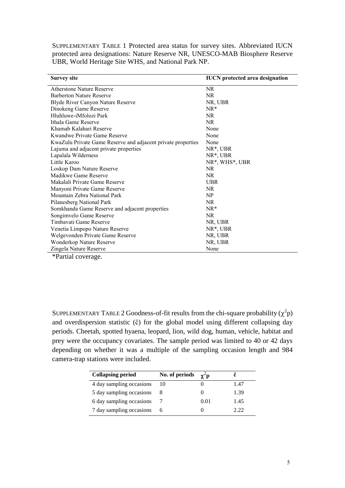SUPPLEMENTARY TABLE 1 Protected area status for survey sites. Abbreviated IUCN protected area designations: Nature Reserve NR, UNESCO-MAB Biosphere Reserve UBR, World Heritage Site WHS, and National Park NP.

| <b>Survey site</b>                                           | <b>IUCN</b> protected area designation |
|--------------------------------------------------------------|----------------------------------------|
| <b>Atherstone Nature Reserve</b>                             | <b>NR</b>                              |
| <b>Barberton Nature Reserve</b>                              | NR.                                    |
| Blyde River Canyon Nature Reserve                            | NR, UBR                                |
| Dinokeng Game Reserve                                        | $NR^*$                                 |
| Hluhluwe-iMfolozi Park                                       | NR.                                    |
| Ithala Game Reserve                                          | <b>NR</b>                              |
| Khamab Kalahari Reserve                                      | None                                   |
| Kwandwe Private Game Reserve                                 | None                                   |
| KwaZulu Private Game Reserve and adjacent private properties | None                                   |
| Lajuma and adjacent private properties                       | $NR^*$ , UBR                           |
| Lapalala Wilderness                                          | NR <sup>*</sup> , UBR                  |
| Little Karoo                                                 | NR*, WHS*, UBR                         |
| Loskop Dam Nature Reserve                                    | NR.                                    |
| Madikwe Game Reserve                                         | NR.                                    |
| Makalali Private Game Reserve                                | <b>UBR</b>                             |
| Manyoni Private Game Reserve                                 | NR.                                    |
| Mountain Zebra National Park                                 | NP                                     |
| Pilanesberg National Park                                    | NR.                                    |
| Somkhanda Game Reserve and adjacent properties               | $NR^*$                                 |
| Songimvelo Game Reserve                                      | NR.                                    |
| Timbavati Game Reserve                                       | NR, UBR                                |
| Venetia Limpopo Nature Reserve                               | NR <sup>*</sup> , UBR                  |
| Welgevonden Private Game Reserve                             | NR, UBR                                |
| Wonderkop Nature Reserve                                     | NR, UBR                                |
| Zingela Nature Reserve<br>$\sqrt{2}$ $\sqrt{2}$ $\sqrt{2}$   | None                                   |

\*Partial coverage.

SUPPLEMENTARY TABLE 2 Goodness-of-fit results from the chi-square probability  $(\chi^2 p)$ and overdispersion statistic (ĉ) for the global model using different collapsing day periods. Cheetah, spotted hyaena, leopard, lion, wild dog, human, vehicle, habitat and prey were the occupancy covariates. The sample period was limited to 40 or 42 days depending on whether it was a multiple of the sampling occasion length and 984 camera-trap stations were included.

| <b>Collapsing period</b> | No. of periods | $\chi$ <sup><math>\sim</math></sup> p |      |
|--------------------------|----------------|---------------------------------------|------|
| 4 day sampling occasions | 10             |                                       | 1.47 |
| 5 day sampling occasions |                | 0                                     | 1.39 |
| 6 day sampling occasions |                | 0.01                                  | 1.45 |
| 7 day sampling occasions | 6              |                                       | 2 22 |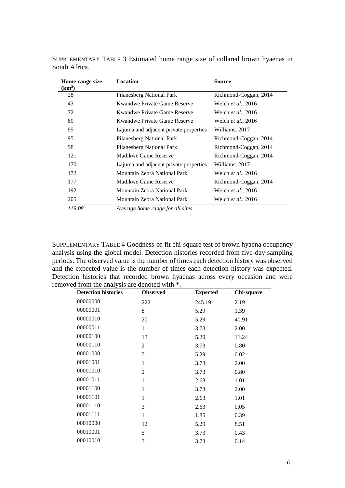| Home range size<br>(km <sup>2</sup> ) | Location                               | <b>Source</b>              |
|---------------------------------------|----------------------------------------|----------------------------|
| 28                                    | Pilanesberg National Park              | Richmond-Coggan, 2014      |
| 43                                    | Kwandwe Private Game Reserve           | Welch <i>et al.</i> , 2016 |
| 72                                    | <b>Kwandwe Private Game Reserve</b>    | Welch <i>et al.</i> , 2016 |
| 80                                    | Kwandwe Private Game Reserve           | Welch <i>et al.</i> , 2016 |
| 95                                    | Lajuma and adjacent private properties | Williams, 2017             |
| 95                                    | Pilanesberg National Park              | Richmond-Coggan, 2014      |
| 98                                    | Pilanesberg National Park              | Richmond-Coggan, 2014      |
| 121                                   | Madikwe Game Reserve                   | Richmond-Coggan, 2014      |
| 170                                   | Lajuma and adjacent private properties | Williams, 2017             |
| 172                                   | Mountain Zebra National Park           | Welch <i>et al.</i> , 2016 |
| 177                                   | Madikwe Game Reserve                   | Richmond-Coggan, 2014      |
| 192                                   | Mountain Zebra National Park           | Welch <i>et al.</i> , 2016 |
| 205                                   | Mountain Zebra National Park           | Welch <i>et al.</i> , 2016 |
| 119.08                                | Average home range for all sites       |                            |

SUPPLEMENTARY TABLE 3 Estimated home range size of collared brown hyaenas in South Africa.

SUPPLEMENTARY TABLE 4 Goodness-of-fit chi-square test of brown hyaena occupancy analysis using the global model. Detection histories recorded from five-day sampling periods. The observed value is the number of times each detection history was observed and the expected value is the number of times each detection history was expected. Detection histories that recorded brown hyaenas across every occasion and were removed from the analysis are denoted with \*.

| <b>Detection histories</b> | <b>Observed</b> | <b>Expected</b> | Chi-square |
|----------------------------|-----------------|-----------------|------------|
| 00000000                   | 222             | 245.19          | 2.19       |
| 00000001                   | 8               | 5.29            | 1.39       |
| 00000010                   | 20              | 5.29            | 40.91      |
| 00000011                   | 1               | 3.73            | 2.00       |
| 00000100                   | 13              | 5.29            | 11.24      |
| 00000110                   | $\overline{2}$  | 3.73            | 0.80       |
| 00001000                   | 5               | 5.29            | 0.02       |
| 00001001                   | $\mathbf{1}$    | 3.73            | 2.00       |
| 00001010                   | $\overline{2}$  | 3.73            | 0.80       |
| 00001011                   | $\mathbf{1}$    | 2.63            | 1.01       |
| 00001100                   | 1               | 3.73            | 2.00       |
| 00001101                   | 1               | 2.63            | 1.01       |
| 00001110                   | 3               | 2.63            | 0.05       |
| 00001111                   | $\mathbf{1}$    | 1.85            | 0.39       |
| 00010000                   | 12              | 5.29            | 8.51       |
| 00010001                   | 5               | 3.73            | 0.43       |
| 00010010                   | 3               | 3.73            | 0.14       |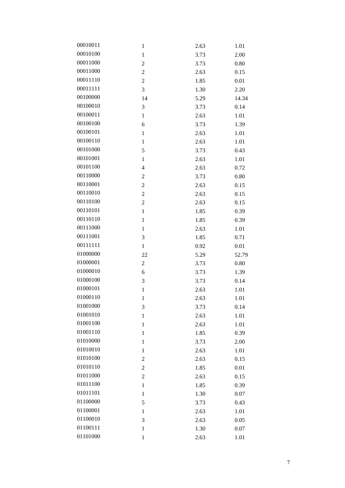| 00010011 | $\mathbf{1}$   | 2.63 | 1.01  |
|----------|----------------|------|-------|
| 00010100 | $\mathbf{1}$   | 3.73 | 2.00  |
| 00011000 | $\overline{c}$ | 3.73 | 0.80  |
| 00011000 | $\overline{c}$ | 2.63 | 0.15  |
| 00011110 | $\overline{2}$ | 1.85 | 0.01  |
| 00011111 | 3              | 1.30 | 2.20  |
| 00100000 | 14             | 5.29 | 14.34 |
| 00100010 | 3              | 3.73 | 0.14  |
| 00100011 | $\mathbf{1}$   | 2.63 | 1.01  |
| 00100100 | 6              | 3.73 | 1.39  |
| 00100101 | $\mathbf{1}$   | 2.63 | 1.01  |
| 00100110 | $\mathbf{1}$   | 2.63 | 1.01  |
| 00101000 | 5              | 3.73 | 0.43  |
| 00101001 | $\mathbf{1}$   | 2.63 | 1.01  |
| 00101100 | $\overline{4}$ | 2.63 | 0.72  |
| 00110000 | $\mathfrak 2$  | 3.73 | 0.80  |
| 00110001 | $\overline{c}$ | 2.63 | 0.15  |
| 00110010 | $\overline{c}$ | 2.63 | 0.15  |
| 00110100 | $\overline{2}$ | 2.63 | 0.15  |
| 00110101 | $\mathbf{1}$   | 1.85 | 0.39  |
| 00110110 | $\mathbf{1}$   | 1.85 | 0.39  |
| 00111000 | $\mathbf{1}$   | 2.63 | 1.01  |
|          |                |      | 0.71  |
| 00111001 | 3              | 1.85 |       |
| 00111111 | $\mathbf{1}$   | 0.92 | 0.01  |
| 01000000 | 22             | 5.29 | 52.79 |
| 01000001 | $\overline{c}$ | 3.73 | 0.80  |
| 01000010 | 6              | 3.73 | 1.39  |
| 01000100 | 3              | 3.73 | 0.14  |
| 01000101 | $\,1$          | 2.63 | 1.01  |
| 01000110 | $\mathbf{1}$   | 2.63 | 1.01  |
| 01001000 | 3              | 3.73 | 0.14  |
| 01001010 | $\mathbf{1}$   | 2.63 | 1.01  |
| 01001100 | $\mathbf{1}$   | 2.63 | 1.01  |
| 01001110 | $\mathbf{1}$   | 1.85 | 0.39  |
| 01010000 | $\mathbf{1}$   | 3.73 | 2.00  |
| 01010010 | $\mathbf{1}$   | 2.63 | 1.01  |
| 01010100 | $\overline{c}$ | 2.63 | 0.15  |
| 01010110 | $\overline{c}$ | 1.85 | 0.01  |
| 01011000 | $\overline{c}$ | 2.63 | 0.15  |
| 01011100 | $\mathbf{1}$   | 1.85 | 0.39  |
| 01011101 | $\mathbf{1}$   | 1.30 | 0.07  |
| 01100000 | 5              | 3.73 | 0.43  |
| 01100001 | 1              | 2.63 | 1.01  |
| 01100010 | 3              | 2.63 | 0.05  |
| 01100111 | $\mathbf{1}$   | 1.30 | 0.07  |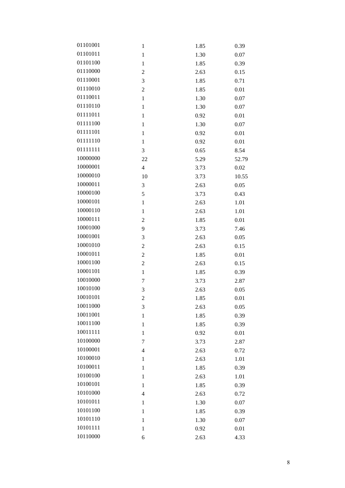| 01101001 | 1              | 1.85 | 0.39  |
|----------|----------------|------|-------|
| 01101011 | $\mathbf{1}$   | 1.30 | 0.07  |
| 01101100 | 1              | 1.85 | 0.39  |
| 01110000 | $\overline{c}$ | 2.63 | 0.15  |
| 01110001 | 3              | 1.85 | 0.71  |
| 01110010 | $\overline{c}$ | 1.85 | 0.01  |
| 01110011 | $\mathbf{1}$   | 1.30 | 0.07  |
| 01110110 | $\mathbf{1}$   | 1.30 | 0.07  |
| 01111011 | $\mathbf{1}$   | 0.92 | 0.01  |
| 01111100 | $\mathbf{1}$   | 1.30 | 0.07  |
| 01111101 | 1              | 0.92 | 0.01  |
| 01111110 | $\mathbf{1}$   | 0.92 | 0.01  |
| 01111111 | 3              | 0.65 | 8.54  |
| 10000000 | 22             | 5.29 | 52.79 |
| 10000001 | 4              | 3.73 | 0.02  |
| 10000010 | 10             | 3.73 | 10.55 |
| 10000011 | 3              | 2.63 | 0.05  |
| 10000100 | 5              | 3.73 | 0.43  |
| 10000101 | $\,1\,$        | 2.63 | 1.01  |
| 10000110 | $\mathbf{1}$   | 2.63 | 1.01  |
| 10000111 | $\overline{c}$ | 1.85 | 0.01  |
| 10001000 | 9              | 3.73 | 7.46  |
| 10001001 | 3              | 2.63 | 0.05  |
| 10001010 | $\overline{c}$ | 2.63 | 0.15  |
| 10001011 | $\overline{c}$ | 1.85 | 0.01  |
| 10001100 | $\overline{2}$ | 2.63 | 0.15  |
| 10001101 | $\,1\,$        | 1.85 | 0.39  |
| 10010000 | 7              | 3.73 | 2.87  |
| 10010100 | 3              | 2.63 | 0.05  |
| 10010101 | $\overline{c}$ | 1.85 | 0.01  |
| 10011000 | 3              | 2.63 | 0.05  |
| 10011001 | 1              | 1.85 | 0.39  |
| 10011100 | 1              | 1.85 | 0.39  |
| 10011111 | $\mathbf{1}$   | 0.92 | 0.01  |
| 10100000 | 7              | 3.73 | 2.87  |
| 10100001 | 4              | 2.63 | 0.72  |
| 10100010 | $\mathbf{1}$   | 2.63 | 1.01  |
| 10100011 | $\mathbf{1}$   | 1.85 | 0.39  |
| 10100100 | 1              | 2.63 | 1.01  |
| 10100101 | 1              | 1.85 | 0.39  |
| 10101000 | 4              | 2.63 | 0.72  |
| 10101011 | 1              | 1.30 | 0.07  |
| 10101100 | 1              | 1.85 | 0.39  |
| 10101110 | 1              | 1.30 | 0.07  |
| 10101111 | $\mathbf{1}$   | 0.92 | 0.01  |
| 10110000 | 6              | 2.63 | 4.33  |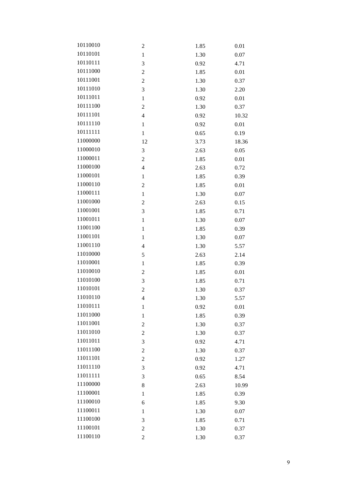| 10110010 | $\overline{c}$          | 1.85 | 0.01  |
|----------|-------------------------|------|-------|
| 10110101 | $\mathbf{1}$            | 1.30 | 0.07  |
| 10110111 | 3                       | 0.92 | 4.71  |
| 10111000 | $\overline{2}$          | 1.85 | 0.01  |
| 10111001 | $\overline{2}$          | 1.30 | 0.37  |
| 10111010 | 3                       | 1.30 | 2.20  |
| 10111011 | $\mathbf{1}$            | 0.92 | 0.01  |
| 10111100 | $\overline{2}$          | 1.30 | 0.37  |
| 10111101 | 4                       | 0.92 | 10.32 |
| 10111110 | $\mathbf{1}$            | 0.92 | 0.01  |
| 10111111 | $\mathbf{1}$            | 0.65 | 0.19  |
| 11000000 | 12                      | 3.73 | 18.36 |
| 11000010 | 3                       | 2.63 | 0.05  |
| 11000011 | $\overline{2}$          | 1.85 | 0.01  |
| 11000100 | $\overline{4}$          | 2.63 | 0.72  |
| 11000101 | $\mathbf{1}$            | 1.85 | 0.39  |
| 11000110 | $\overline{c}$          | 1.85 | 0.01  |
| 11000111 | $\mathbf{1}$            | 1.30 | 0.07  |
| 11001000 | $\overline{c}$          | 2.63 | 0.15  |
| 11001001 | 3                       | 1.85 | 0.71  |
| 11001011 | $\mathbf{1}$            | 1.30 | 0.07  |
| 11001100 | $\mathbf{1}$            | 1.85 | 0.39  |
| 11001101 | $\mathbf{1}$            | 1.30 | 0.07  |
| 11001110 | $\overline{4}$          | 1.30 | 5.57  |
| 11010000 | 5                       | 2.63 | 2.14  |
| 11010001 | $\mathbf{1}$            | 1.85 | 0.39  |
| 11010010 | $\overline{c}$          | 1.85 | 0.01  |
| 11010100 | 3                       | 1.85 | 0.71  |
| 11010101 | $\overline{c}$          | 1.30 | 0.37  |
| 11010110 | $\overline{4}$          | 1.30 | 5.57  |
| 11010111 | $\mathbf{1}$            | 0.92 | 0.01  |
| 11011000 | $\,1$                   | 1.85 | 0.39  |
| 11011001 | $\overline{c}$          | 1.30 | 0.37  |
| 11011010 | $\overline{\mathbf{c}}$ | 1.30 | 0.37  |
| 11011011 | 3                       | 0.92 | 4.71  |
| 11011100 | $\overline{c}$          | 1.30 | 0.37  |
| 11011101 | $\overline{c}$          | 0.92 | 1.27  |
| 11011110 | 3                       | 0.92 | 4.71  |
| 11011111 | 3                       | 0.65 | 8.54  |
| 11100000 | 8                       | 2.63 | 10.99 |
| 11100001 | $\mathbf{1}$            | 1.85 | 0.39  |
| 11100010 | 6                       | 1.85 | 9.30  |
| 11100011 | $\mathbf{1}$            | 1.30 | 0.07  |
| 11100100 | 3                       | 1.85 | 0.71  |
| 11100101 | $\overline{c}$          | 1.30 | 0.37  |
| 11100110 | $\overline{c}$          | 1.30 | 0.37  |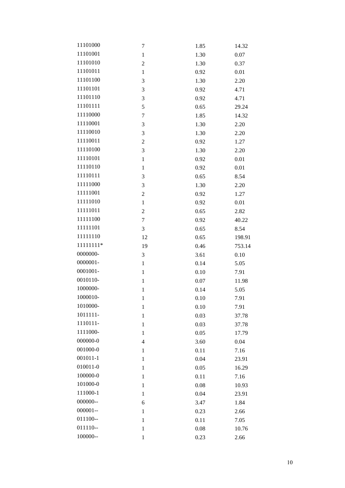| 11101000     | 7              | 1.85 | 14.32  |
|--------------|----------------|------|--------|
| 11101001     | $\mathbf{1}$   | 1.30 | 0.07   |
| 11101010     | $\overline{c}$ | 1.30 | 0.37   |
| 11101011     | $\mathbf{1}$   | 0.92 | 0.01   |
| 11101100     | 3              | 1.30 | 2.20   |
| 11101101     | 3              | 0.92 | 4.71   |
| 11101110     | 3              | 0.92 | 4.71   |
| 11101111     | 5              | 0.65 | 29.24  |
| 11110000     | 7              | 1.85 | 14.32  |
| 11110001     | 3              | 1.30 | 2.20   |
| 11110010     | 3              | 1.30 | 2.20   |
| 11110011     | $\overline{c}$ | 0.92 | 1.27   |
| 11110100     | 3              | 1.30 | 2.20   |
| 11110101     | $\mathbf{1}$   | 0.92 | 0.01   |
| 11110110     | $\mathbf 1$    | 0.92 | 0.01   |
| 11110111     | 3              | 0.65 | 8.54   |
| 11111000     | 3              | 1.30 | 2.20   |
| 11111001     | $\overline{c}$ | 0.92 | 1.27   |
| 11111010     | $\mathbf{1}$   | 0.92 | 0.01   |
| 11111011     | $\overline{c}$ | 0.65 | 2.82   |
| 11111100     | $\overline{7}$ | 0.92 | 40.22  |
| 11111101     | 3              | 0.65 | 8.54   |
| 11111110     | 12             | 0.65 | 198.91 |
| 11111111*    | 19             | 0.46 | 753.14 |
| 0000000-     | 3              | 3.61 | 0.10   |
| 0000001-     | $\mathbf{1}$   | 0.14 | 5.05   |
| 0001001-     | $\mathbf 1$    | 0.10 | 7.91   |
| 0010110-     | $\mathbf 1$    | 0.07 | 11.98  |
| 1000000-     | $\mathbf 1$    | 0.14 | 5.05   |
| 1000010-     | $\mathbf{1}$   | 0.10 | 7.91   |
| 1010000-     | $\mathbf{1}$   | 0.10 | 7.91   |
| 1011111-     | $\mathbf{1}$   | 0.03 | 37.78  |
| 1110111-     | $\mathbf{1}$   | 0.03 | 37.78  |
| 1111000-     | $\mathbf{1}$   | 0.05 | 17.79  |
| 000000-0     | $\overline{4}$ | 3.60 | 0.04   |
| 001000-0     | $\mathbf{1}$   | 0.11 | 7.16   |
| $001011 - 1$ | 1              | 0.04 | 23.91  |
| $010011 - 0$ | $\mathbf{1}$   | 0.05 | 16.29  |
| 100000-0     | 1              | 0.11 | 7.16   |
| 101000-0     | $\mathbf{1}$   | 0.08 | 10.93  |
| 111000-1     | 1              | 0.04 | 23.91  |
| 000000--     | 6              | 3.47 | 1.84   |
| $000001 -$   | $\mathbf{1}$   | 0.23 | 2.66   |
| 011100--     | $\mathbf{1}$   | 0.11 | 7.05   |
| 011110--     | $\mathbf{1}$   | 0.08 | 10.76  |
| 100000--     | $\mathbf{1}$   | 0.23 | 2.66   |
|              |                |      |        |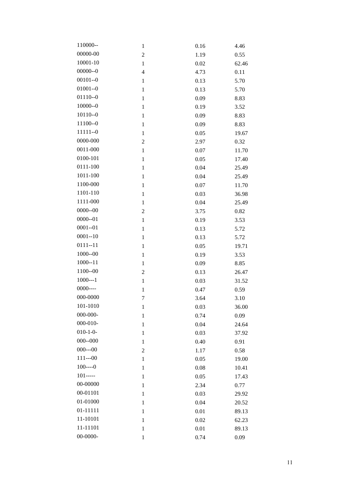| 110000--        | $\mathbf{1}$   | 0.16 | 4.46  |
|-----------------|----------------|------|-------|
| 00000-00        | $\overline{c}$ | 1.19 | 0.55  |
| 10001-10        | $\mathbf{1}$   | 0.02 | 62.46 |
| $00000 - 0$     | $\overline{4}$ | 4.73 | 0.11  |
| $00101 - 0$     | $\mathbf{1}$   | 0.13 | 5.70  |
| $01001 - 0$     | $\mathbf{1}$   | 0.13 | 5.70  |
| $01110 - 0$     | $\mathbf 1$    | 0.09 | 8.83  |
| $10000 - 0$     | $\mathbf{1}$   | 0.19 | 3.52  |
| $10110 - 0$     | $\mathbf{1}$   | 0.09 | 8.83  |
| 11100--0        | $\mathbf{1}$   | 0.09 | 8.83  |
| $11111--0$      | $\mathbf{1}$   | 0.05 | 19.67 |
| 0000-000        | $\overline{c}$ | 2.97 | 0.32  |
| 0011-000        | $\mathbf{1}$   | 0.07 | 11.70 |
| 0100-101        | $\mathbf{1}$   | 0.05 | 17.40 |
| 0111-100        | $\,1$          | 0.04 | 25.49 |
| 1011-100        | $\mathbf{1}$   | 0.04 | 25.49 |
| 1100-000        | $\mathbf{1}$   | 0.07 | 11.70 |
| 1101-110        | $\mathbf{1}$   | 0.03 | 36.98 |
| 1111-000        | $\mathbf{1}$   | 0.04 | 25.49 |
| $0000 - 00$     | $\overline{c}$ | 3.75 | 0.82  |
| $0000 - 01$     | $\mathbf{1}$   | 0.19 | 3.53  |
| $0001 - 01$     | $\mathbf{1}$   | 0.13 | 5.72  |
| $0001 - 10$     | $\,1$          | 0.13 | 5.72  |
| $0111 - 11$     | $\mathbf{1}$   | 0.05 | 19.71 |
| $1000 - 00$     | $\mathbf{1}$   | 0.19 | 3.53  |
| $1000 - 11$     | $\mathbf{1}$   | 0.09 | 8.85  |
| 1100--00        | $\overline{c}$ | 0.13 | 26.47 |
| $1000--1$       | $\mathbf{1}$   | 0.03 | 31.52 |
| $0000---$       | $\mathbf{1}$   | 0.47 | 0.59  |
| 000-0000        | 7              | 3.64 | 3.10  |
| 101-1010        | $\mathbf{1}$   | 0.03 | 36.00 |
| 000-000-        | $\mathbf{1}$   | 0.74 | 0.09  |
| 000-010-        | $\mathbf{1}$   | 0.04 | 24.64 |
| $010 - 1 - 0 -$ | $\mathbf{1}$   | 0.03 | 37.92 |
| $000 - 000$     | 1              | 0.40 | 0.91  |
| $000--00$       | $\overline{c}$ | 1.17 | 0.58  |
| $111--00$       | $\mathbf{1}$   | 0.05 | 19.00 |
| $100---0$       | $\mathbf{1}$   | 0.08 | 10.41 |
| $101$ -----     | $\mathbf{1}$   | 0.05 | 17.43 |
| 00-00000        | $\mathbf{1}$   | 2.34 | 0.77  |
| 00-01101        | $\mathbf{1}$   | 0.03 | 29.92 |
| 01-01000        | $\mathbf{1}$   | 0.04 | 20.52 |
| 01-11111        | $\mathbf{1}$   | 0.01 | 89.13 |
| 11-10101        | $\mathbf{1}$   | 0.02 | 62.23 |
| 11-11101        | $\mathbf 1$    | 0.01 | 89.13 |
| 00-0000-        | 1              | 0.74 | 0.09  |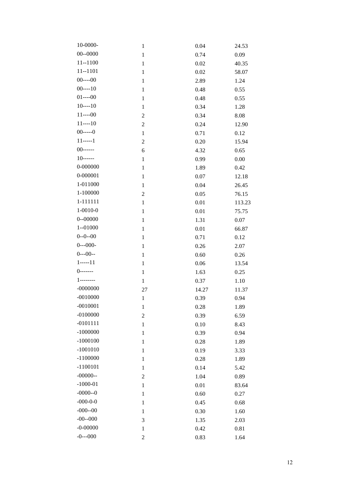| 10-0000-          | $\mathbf{1}$   | 0.04  | 24.53  |
|-------------------|----------------|-------|--------|
| $00 - 0000$       | $\mathbf 1$    | 0.74  | 0.09   |
| $11 - 1100$       | $\mathbf 1$    | 0.02  | 40.35  |
| $11 - 1101$       | $\mathbf{1}$   | 0.02  | 58.07  |
| $00---00$         | $\mathbf{1}$   | 2.89  | 1.24   |
| $00---10$         | $\mathbf{1}$   | 0.48  | 0.55   |
| $01---00$         | $\mathbf 1$    | 0.48  | 0.55   |
| $10---10$         | $\mathbf{1}$   | 0.34  | 1.28   |
| $11---00$         | $\overline{c}$ | 0.34  | 8.08   |
| $11---10$         | $\overline{c}$ | 0.24  | 12.90  |
| $00$ -----0       | $\,1$          | 0.71  | 0.12   |
| $11$ -----1       | $\overline{c}$ | 0.20  | 15.94  |
| $00$ ------       | 6              | 4.32  | 0.65   |
| $10$ ------       | $\mathbf{1}$   | 0.99  | 0.00   |
| 0-000000          | $\mathbf 1$    | 1.89  | 0.42   |
| 0-000001          | $\mathbf{1}$   | 0.07  | 12.18  |
| 1-011000          | $\mathbf{1}$   | 0.04  | 26.45  |
| 1-100000          | $\overline{c}$ | 0.05  | 76.15  |
| 1-111111          | $\,1$          | 0.01  | 113.23 |
| $1 - 0010 - 0$    | $\mathbf{1}$   | 0.01  | 75.75  |
| $0 - 00000$       | $\mathbf{1}$   | 1.31  | 0.07   |
| $1 - 01000$       | $\mathbf{1}$   | 0.01  | 66.87  |
| $0 - 0 - 00$      | $\mathbf 1$    | 0.71  | 0.12   |
| $0--000-$         | $\mathbf{1}$   | 0.26  | 2.07   |
| $0--00--$         | $\mathbf{1}$   | 0.60  | 0.26   |
| $1$ -----11       | $\mathbf{1}$   | 0.06  | 13.54  |
| $()$ -------      | $\mathbf 1$    | 1.63  | 0.25   |
| $1 - - - - - - -$ | $\,1$          | 0.37  | 1.10   |
| $-0000000$        | 27             | 14.27 | 11.37  |
| $-0010000$        | $\mathbf{1}$   | 0.39  | 0.94   |
| $-0010001$        | $\mathbf{1}$   | 0.28  | 1.89   |
| $-0100000$        | $\overline{c}$ | 0.39  | 6.59   |
| $-0101111$        | $\mathbf{1}$   | 0.10  | 8.43   |
| $-1000000$        | $\mathbf{1}$   | 0.39  | 0.94   |
| $-1000100$        | $\mathbf{1}$   | 0.28  | 1.89   |
| $-1001010$        | $\mathbf{1}$   | 0.19  | 3.33   |
| $-1100000$        | $\mathbf{1}$   | 0.28  | 1.89   |
| $-1100101$        | $\mathbf{1}$   | 0.14  | 5.42   |
| $-00000-$         | $\overline{c}$ | 1.04  | 0.89   |
| $-1000 - 01$      | $\mathbf{1}$   | 0.01  | 83.64  |
| $-0000 - 0$       | $\mathbf{1}$   | 0.60  | 0.27   |
| $-000 - 0 - 0$    | $\mathbf{1}$   | 0.45  | 0.68   |
| $-000 - 00$       | $\mathbf{1}$   | 0.30  | 1.60   |
| $-00 - -000$      | 3              | 1.35  | 2.03   |
| $-0 - 00000$      | $\mathbf{1}$   | 0.42  | 0.81   |
| $-0$ ---000       | $\overline{c}$ | 0.83  | 1.64   |
|                   |                |       |        |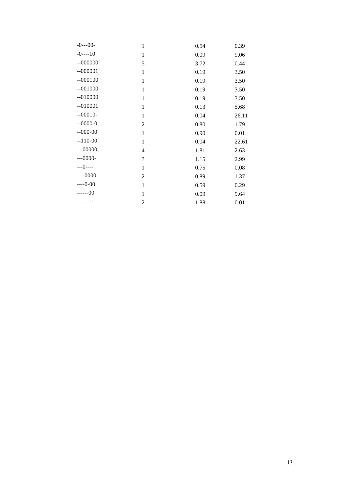| $-0$ ---00-   | $\mathbf{1}$   | 0.54 | 0.39  |
|---------------|----------------|------|-------|
| $-0$ --- $10$ | 1              | 0.09 | 9.06  |
| $-000000$     | 5              | 3.72 | 0.44  |
| $-000001$     | 1              | 0.19 | 3.50  |
| $-000100$     | $\mathbf{1}$   | 0.19 | 3.50  |
| $-001000$     | $\mathbf{1}$   | 0.19 | 3.50  |
| $-010000$     | $\mathbf{1}$   | 0.19 | 3.50  |
| $-010001$     | $\mathbf{1}$   | 0.13 | 5.68  |
| $-00010-$     | 1              | 0.04 | 26.11 |
| $-0000-0$     | $\overline{2}$ | 0.80 | 1.79  |
| $-000-00$     | 1              | 0.90 | 0.01  |
| $-110-00$     | $\mathbf{1}$   | 0.04 | 22.61 |
| $--00000$     | $\overline{4}$ | 1.81 | 2.63  |
| $--0000-$     | 3              | 1.15 | 2.99  |
| $---0---$     | $\mathbf{1}$   | 0.75 | 0.08  |
| $---0000$     | $\overline{2}$ | 0.89 | 1.37  |
| $---0-00$     | $\mathbf{1}$   | 0.59 | 0.29  |
| $---00$       | $\mathbf{1}$   | 0.09 | 9.64  |
| ------11      | $\overline{2}$ | 1.88 | 0.01  |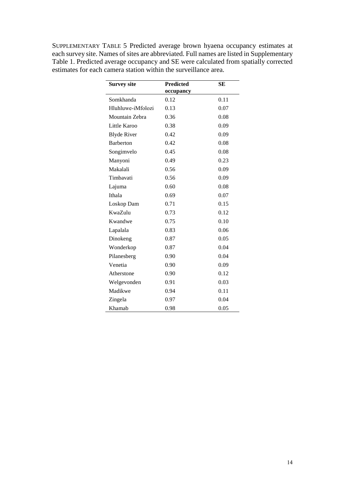SUPPLEMENTARY TABLE 5 Predicted average brown hyaena occupancy estimates at each survey site. Names of sites are abbreviated. Full names are listed in Supplementary Table 1. Predicted average occupancy and SE were calculated from spatially corrected estimates for each camera station within the surveillance area.

| <b>Survey site</b> | <b>Predicted</b> | <b>SE</b> |
|--------------------|------------------|-----------|
|                    | occupancy        |           |
| Somkhanda          | 0.12             | 0.11      |
| Hluhluwe-iMfolozi  | 0.13             | 0.07      |
| Mountain Zebra     | 0.36             | 0.08      |
| Little Karoo       | 0.38             | 0.09      |
| <b>Blyde River</b> | 0.42             | 0.09      |
| <b>Barberton</b>   | 0.42             | 0.08      |
| Songimvelo         | 0.45             | 0.08      |
| Manyoni            | 0.49             | 0.23      |
| Makalali           | 0.56             | 0.09      |
| Timbavati          | 0.56             | 0.09      |
| Lajuma             | 0.60             | 0.08      |
| Ithala             | 0.69             | 0.07      |
| Loskop Dam         | 0.71             | 0.15      |
| <b>KwaZulu</b>     | 0.73             | 0.12      |
| Kwandwe            | 0.75             | 0.10      |
| Lapalala           | 0.83             | 0.06      |
| Dinokeng           | 0.87             | 0.05      |
| Wonderkop          | 0.87             | 0.04      |
| Pilanesberg        | 0.90             | 0.04      |
| Venetia            | 0.90             | 0.09      |
| Atherstone         | 0.90             | 0.12      |
| Welgevonden        | 0.91             | 0.03      |
| Madikwe            | 0.94             | 0.11      |
| Zingela            | 0.97             | 0.04      |
| Khamab             | 0.98             | 0.05      |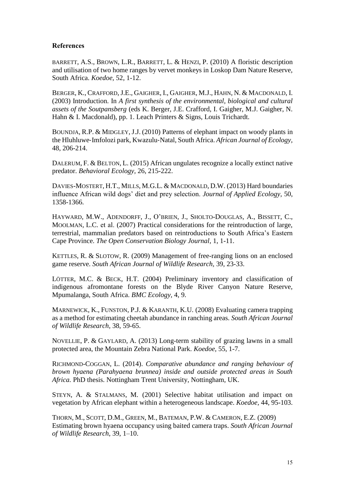## **References**

BARRETT, A.S., BROWN, L.R., BARRETT, L. & HENZI, P. (2010) A floristic description and utilisation of two home ranges by vervet monkeys in Loskop Dam Nature Reserve, South Africa. *Koedoe,* 52, 1-12.

BERGER, K., CRAFFORD, J.E., GAIGHER, I., GAIGHER, M.J., HAHN, N. & MACDONALD, I. (2003) Introduction. In *A first synthesis of the environmental, biological and cultural assets of the Soutpansberg* (eds K. Berger, J.E. Crafford, I. Gaigher, M.J. Gaigher, N. Hahn & I. Macdonald), pp. 1. Leach Printers & Signs, Louis Trichardt.

BOUNDJA, R.P. & MIDGLEY, J.J. (2010) Patterns of elephant impact on woody plants in the Hluhluwe‐Imfolozi park, Kwazulu‐Natal, South Africa. *African Journal of Ecology,* 48, 206-214.

DALERUM, F. & BELTON, L. (2015) African ungulates recognize a locally extinct native predator. *Behavioral Ecology,* 26, 215-222.

DAVIES-MOSTERT, H.T., MILLS, M.G.L. & MACDONALD, D.W. (2013) Hard boundaries influence African wild dogs' diet and prey selection. *Journal of Applied Ecology,* 50, 1358-1366.

HAYWARD, M.W., ADENDORFF, J., O'BRIEN, J., SHOLTO-DOUGLAS, A., BISSETT, C., MOOLMAN, L.C. et al. (2007) Practical considerations for the reintroduction of large, terrestrial, mammalian predators based on reintroductions to South Africa's Eastern Cape Province. *The Open Conservation Biology Journal,* 1, 1-11.

KETTLES, R. & SLOTOW, R. (2009) Management of free-ranging lions on an enclosed game reserve. *South African Journal of Wildlife Research,* 39, 23-33.

LÖTTER, M.C. & BECK, H.T. (2004) Preliminary inventory and classification of indigenous afromontane forests on the Blyde River Canyon Nature Reserve, Mpumalanga, South Africa. *BMC Ecology,* 4, 9.

MARNEWICK, K., FUNSTON, P.J. & KARANTH, K.U. (2008) Evaluating camera trapping as a method for estimating cheetah abundance in ranching areas. *South African Journal of Wildlife Research,* 38, 59-65.

NOVELLIE, P. & GAYLARD, A. (2013) Long-term stability of grazing lawns in a small protected area, the Mountain Zebra National Park. *Koedoe,* 55, 1-7.

RICHMOND-COGGAN, L. (2014). *Comparative abundance and ranging behaviour of brown hyaena (Parahyaena brunnea) inside and outside protected areas in South Africa.* PhD thesis. Nottingham Trent University, Nottingham, UK.

STEYN, A. & STALMANS, M. (2001) Selective habitat utilisation and impact on vegetation by African elephant within a heterogeneous landscape. *Koedoe,* 44, 95-103.

THORN, M., SCOTT, D.M., GREEN, M., BATEMAN, P.W. & CAMERON, E.Z. (2009) Estimating brown hyaena occupancy using baited camera traps. *South African Journal of Wildlife Research*, 39, 1–10.